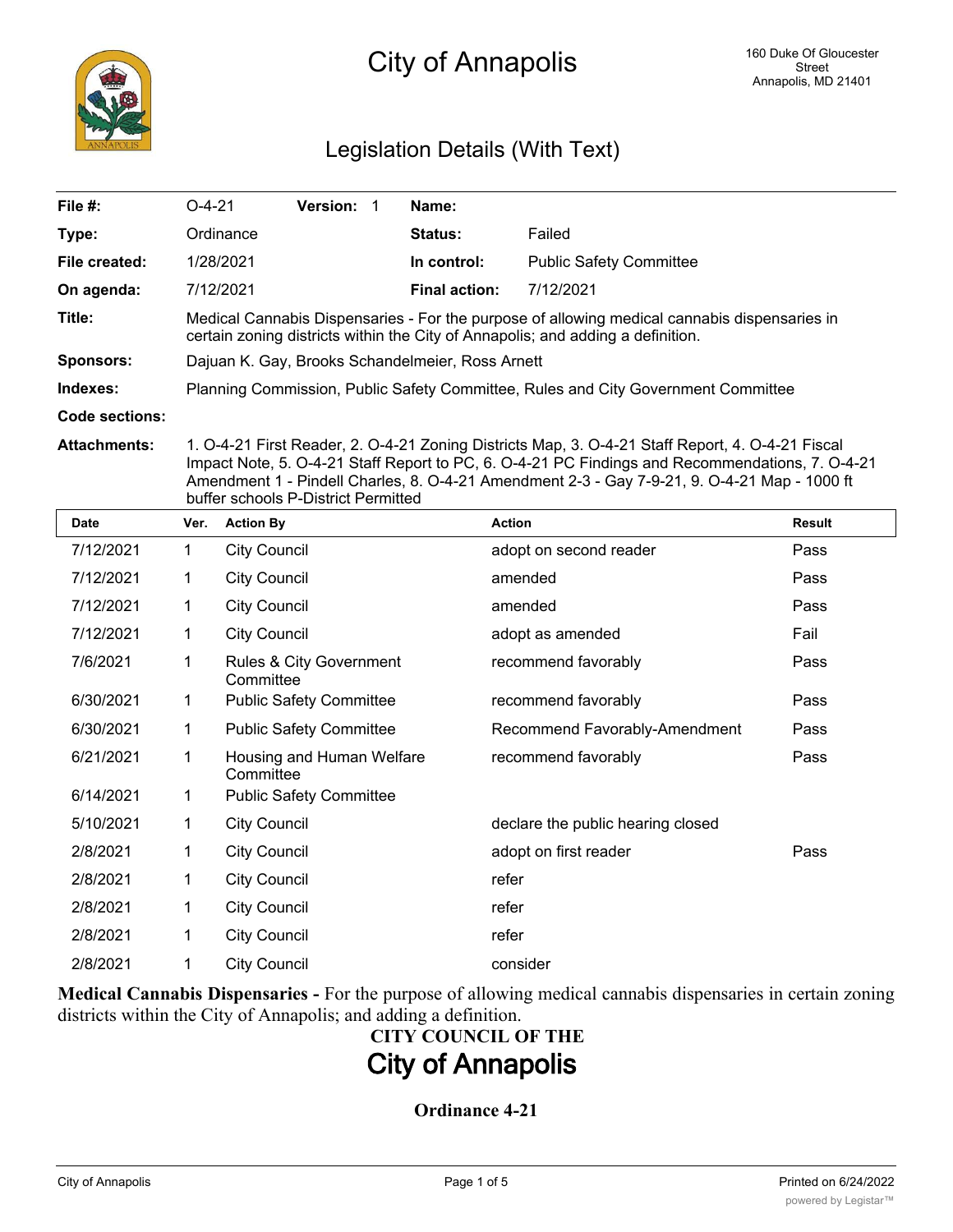

# Legislation Details (With Text)

| File #:             | $O-4-21$                                                                                                                                                                                          | <b>Version:</b> | Name:                |                                |  |  |  |
|---------------------|---------------------------------------------------------------------------------------------------------------------------------------------------------------------------------------------------|-----------------|----------------------|--------------------------------|--|--|--|
| Type:               | Ordinance                                                                                                                                                                                         |                 | <b>Status:</b>       | Failed                         |  |  |  |
| File created:       | 1/28/2021                                                                                                                                                                                         |                 | In control:          | <b>Public Safety Committee</b> |  |  |  |
| On agenda:          | 7/12/2021                                                                                                                                                                                         |                 | <b>Final action:</b> | 7/12/2021                      |  |  |  |
| Title:              | Medical Cannabis Dispensaries - For the purpose of allowing medical cannabis dispensaries in<br>certain zoning districts within the City of Annapolis; and adding a definition.                   |                 |                      |                                |  |  |  |
| Sponsors:           | Dajuan K. Gay, Brooks Schandelmeier, Ross Arnett                                                                                                                                                  |                 |                      |                                |  |  |  |
| Indexes:            | Planning Commission, Public Safety Committee, Rules and City Government Committee                                                                                                                 |                 |                      |                                |  |  |  |
| Code sections:      |                                                                                                                                                                                                   |                 |                      |                                |  |  |  |
| <b>Attachments:</b> | 1. O-4-21 First Reader, 2. O-4-21 Zoning Districts Map, 3. O-4-21 Staff Report, 4. O-4-21 Fiscal<br>Impact Note, 5. O-4-21 Staff Report to PC, 6. O-4-21 PC Findings and Recommendations, 7. O-4- |                 |                      |                                |  |  |  |

Impact Note, 5. O-4-21 Staff Report to PC, 6. O-4-21 PC Findings and Recommendations, 7. O-4-21 Amendment 1 - Pindell Charles, 8. O-4-21 Amendment 2-3 - Gay 7-9-21, 9. O-4-21 Map - 1000 ft buffer schools P-District Permitted

| <b>Date</b> | Ver. | <b>Action By</b>                       | <b>Action</b>                     | <b>Result</b> |
|-------------|------|----------------------------------------|-----------------------------------|---------------|
| 7/12/2021   | 1    | <b>City Council</b>                    | adopt on second reader            | Pass          |
| 7/12/2021   | 1    | <b>City Council</b>                    | amended                           | Pass          |
| 7/12/2021   | 1    | <b>City Council</b>                    | amended                           | Pass          |
| 7/12/2021   | 1    | <b>City Council</b>                    | adopt as amended                  | Fail          |
| 7/6/2021    | 1    | Rules & City Government<br>Committee   | recommend favorably               | Pass          |
| 6/30/2021   | 1    | <b>Public Safety Committee</b>         | recommend favorably               | Pass          |
| 6/30/2021   | 1    | <b>Public Safety Committee</b>         | Recommend Favorably-Amendment     | Pass          |
| 6/21/2021   | 1    | Housing and Human Welfare<br>Committee | recommend favorably               | Pass          |
| 6/14/2021   | 1    | <b>Public Safety Committee</b>         |                                   |               |
| 5/10/2021   | 1    | <b>City Council</b>                    | declare the public hearing closed |               |
| 2/8/2021    | 1    | <b>City Council</b>                    | adopt on first reader             | Pass          |
| 2/8/2021    | 1    | <b>City Council</b>                    | refer                             |               |
| 2/8/2021    | 1    | <b>City Council</b>                    | refer                             |               |
| 2/8/2021    | 1    | <b>City Council</b>                    | refer                             |               |
| 2/8/2021    | 1    | <b>City Council</b>                    | consider                          |               |

**Medical Cannabis Dispensaries -** For the purpose of allowing medical cannabis dispensaries in certain zoning districts within the City of Annapolis; and adding a definition.

# **CITY COUNCIL OF THE City of Annapolis**

# **Ordinance 4-21**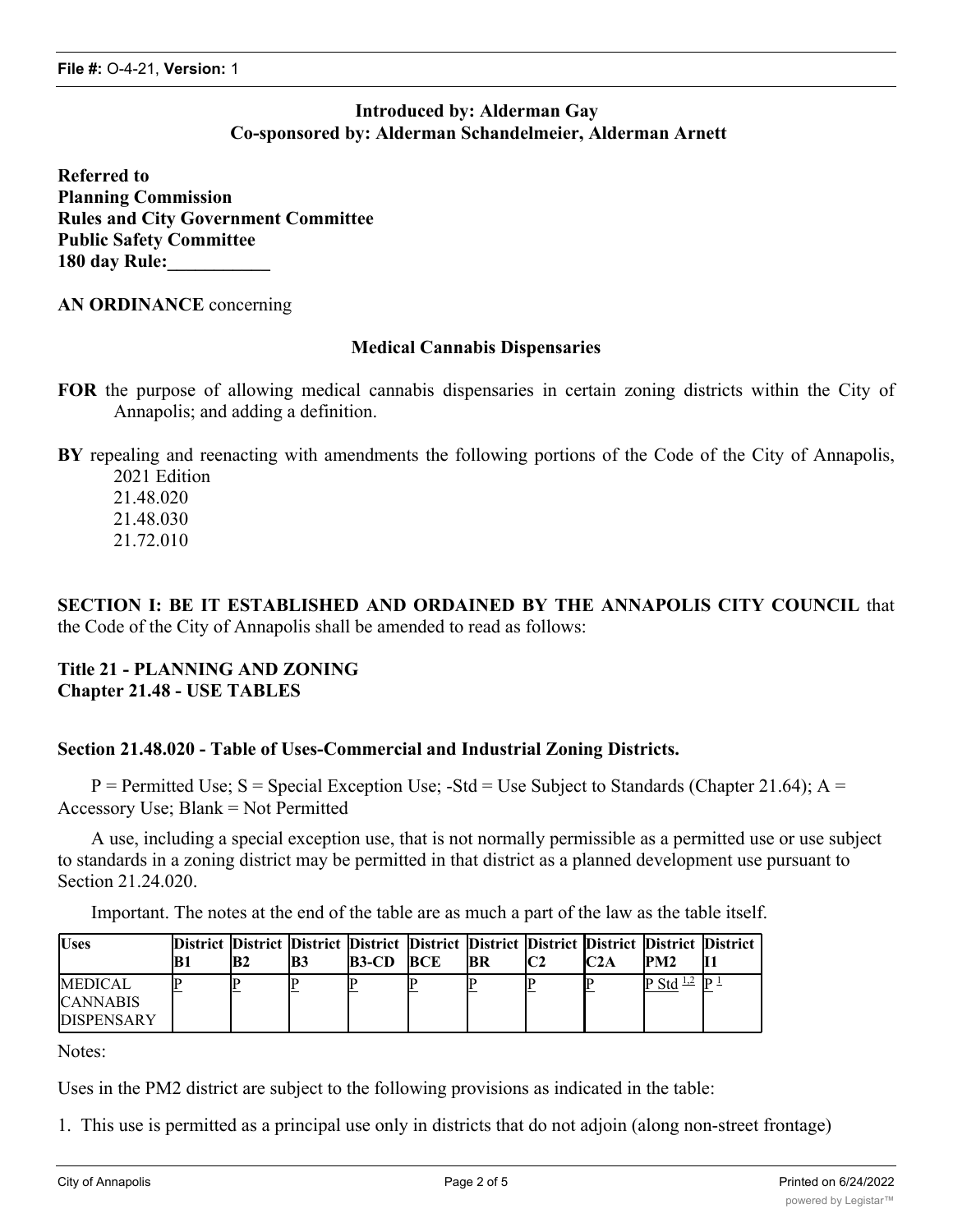# **Introduced by: Alderman Gay Co-sponsored by: Alderman Schandelmeier, Alderman Arnett**

**Referred to Planning Commission Rules and City Government Committee Public Safety Committee 180 day Rule:\_\_\_\_\_\_\_\_\_\_\_**

#### **AN ORDINANCE** concerning

#### **Medical Cannabis Dispensaries**

**FOR** the purpose of allowing medical cannabis dispensaries in certain zoning districts within the City of Annapolis; and adding a definition.

**BY** repealing and reenacting with amendments the following portions of the Code of the City of Annapolis, 2021 Edition

21.48.020 21.48.030 21.72.010

**SECTION I: BE IT ESTABLISHED AND ORDAINED BY THE ANNAPOLIS CITY COUNCIL** that the Code of the City of Annapolis shall be amended to read as follows:

#### **Title 21 - PLANNING AND ZONING Chapter 21.48 - USE TABLES**

#### **Section 21.48.020 - Table of Uses-Commercial and Industrial Zoning Districts.**

 $P =$  Permitted Use; S = Special Exception Use; -Std = Use Subject to Standards (Chapter 21.64); A = Accessory Use; Blank = Not Permitted

A use, including a special exception use, that is not normally permissible as a permitted use or use subject to standards in a zoning district may be permitted in that district as a planned development use pursuant to Section 21.24.020.

Important. The notes at the end of the table are as much a part of the law as the table itself.

| <b>Uses</b>                                            | IB 1 | B2 | IB3 | District District District District District District District District District District<br>$B3-CD$ | <b>BCE</b> | IBR | IC2A | PM2             |  |
|--------------------------------------------------------|------|----|-----|------------------------------------------------------------------------------------------------------|------------|-----|------|-----------------|--|
| <b>MEDICAL</b><br><b>CANNABIS</b><br><b>DISPENSARY</b> |      |    |     |                                                                                                      |            |     |      | $P Std \perp 2$ |  |

Notes:

Uses in the PM2 district are subject to the following provisions as indicated in the table:

1. This use is permitted as a principal use only in districts that do not adjoin (along non-street frontage)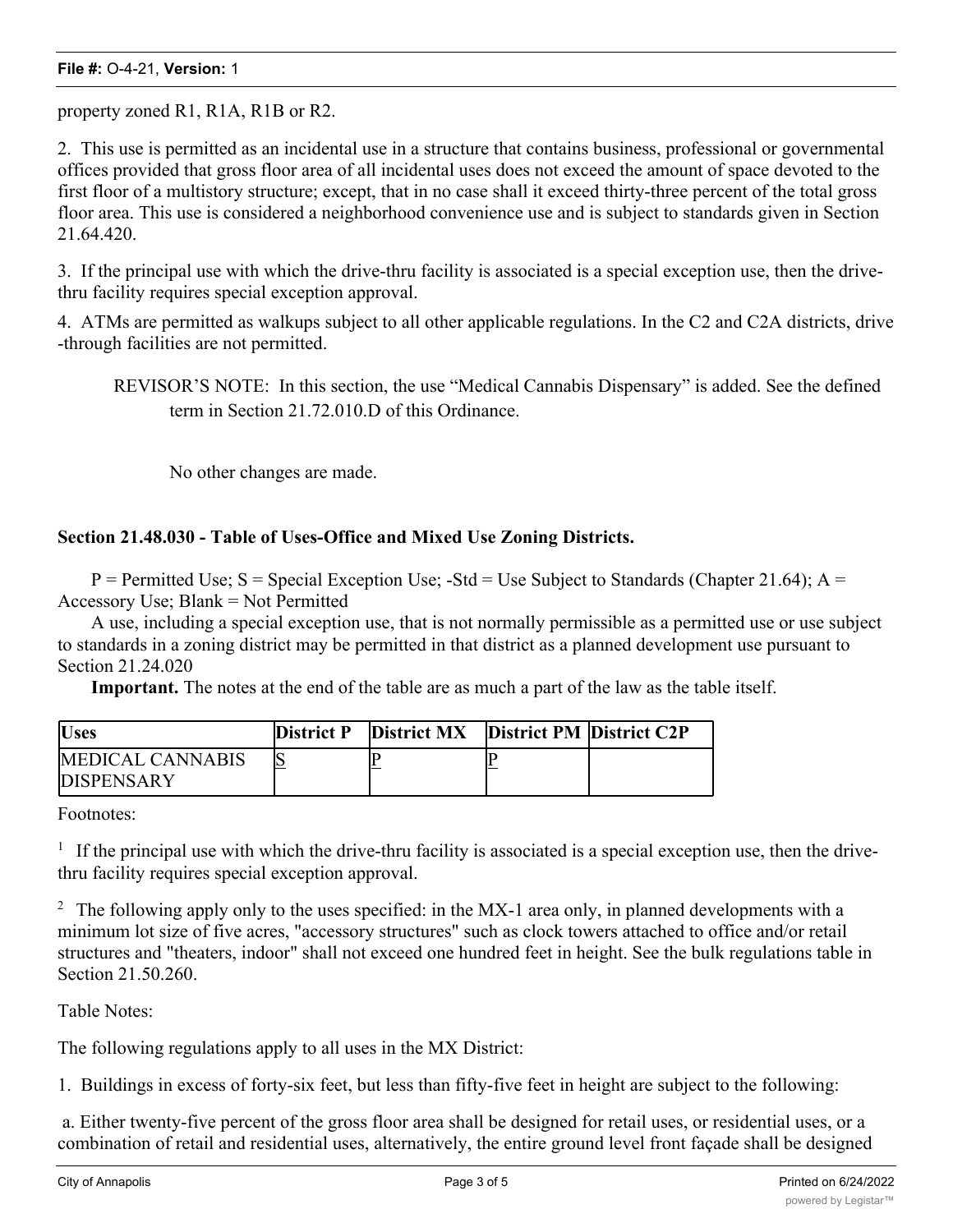#### **File #:** O-4-21, **Version:** 1

property zoned R1, R1A, R1B or R2.

2. This use is permitted as an incidental use in a structure that contains business, professional or governmental offices provided that gross floor area of all incidental uses does not exceed the amount of space devoted to the first floor of a multistory structure; except, that in no case shall it exceed thirty-three percent of the total gross floor area. This use is considered a neighborhood convenience use and is subject to standards given in Section 21.64.420.

3. If the principal use with which the drive-thru facility is associated is a special exception use, then the drivethru facility requires special exception approval.

4. ATMs are permitted as walkups subject to all other applicable regulations. In the C2 and C2A districts, drive -through facilities are not permitted.

REVISOR'S NOTE: In this section, the use "Medical Cannabis Dispensary" is added. See the defined term in Section 21.72.010.D of this Ordinance.

No other changes are made.

### **Section 21.48.030 - Table of Uses-Office and Mixed Use Zoning Districts.**

 $P =$  Permitted Use; S = Special Exception Use; -Std = Use Subject to Standards (Chapter 21.64); A = Accessory Use; Blank = Not Permitted

A use, including a special exception use, that is not normally permissible as a permitted use or use subject to standards in a zoning district may be permitted in that district as a planned development use pursuant to Section 21.24.020

**Important.** The notes at the end of the table are as much a part of the law as the table itself.

| <b>Uses</b>                            | <b>District P</b> | <b>District MX</b> | <b>District PM District C2P</b> |
|----------------------------------------|-------------------|--------------------|---------------------------------|
| MEDICAL CANNABIS<br><b>IDISPENSARY</b> |                   |                    |                                 |

Footnotes:

 $1$  If the principal use with which the drive-thru facility is associated is a special exception use, then the drivethru facility requires special exception approval.

<sup>2</sup> The following apply only to the uses specified: in the MX-1 area only, in planned developments with a minimum lot size of five acres, "accessory structures" such as clock towers attached to office and/or retail structures and "theaters, indoor" shall not exceed one hundred feet in height. See the bulk regulations table in Section 21.50.260.

Table Notes:

The following regulations apply to all uses in the MX District:

1. Buildings in excess of forty-six feet, but less than fifty-five feet in height are subject to the following:

 a. Either twenty-five percent of the gross floor area shall be designed for retail uses, or residential uses, or a combination of retail and residential uses, alternatively, the entire ground level front façade shall be designed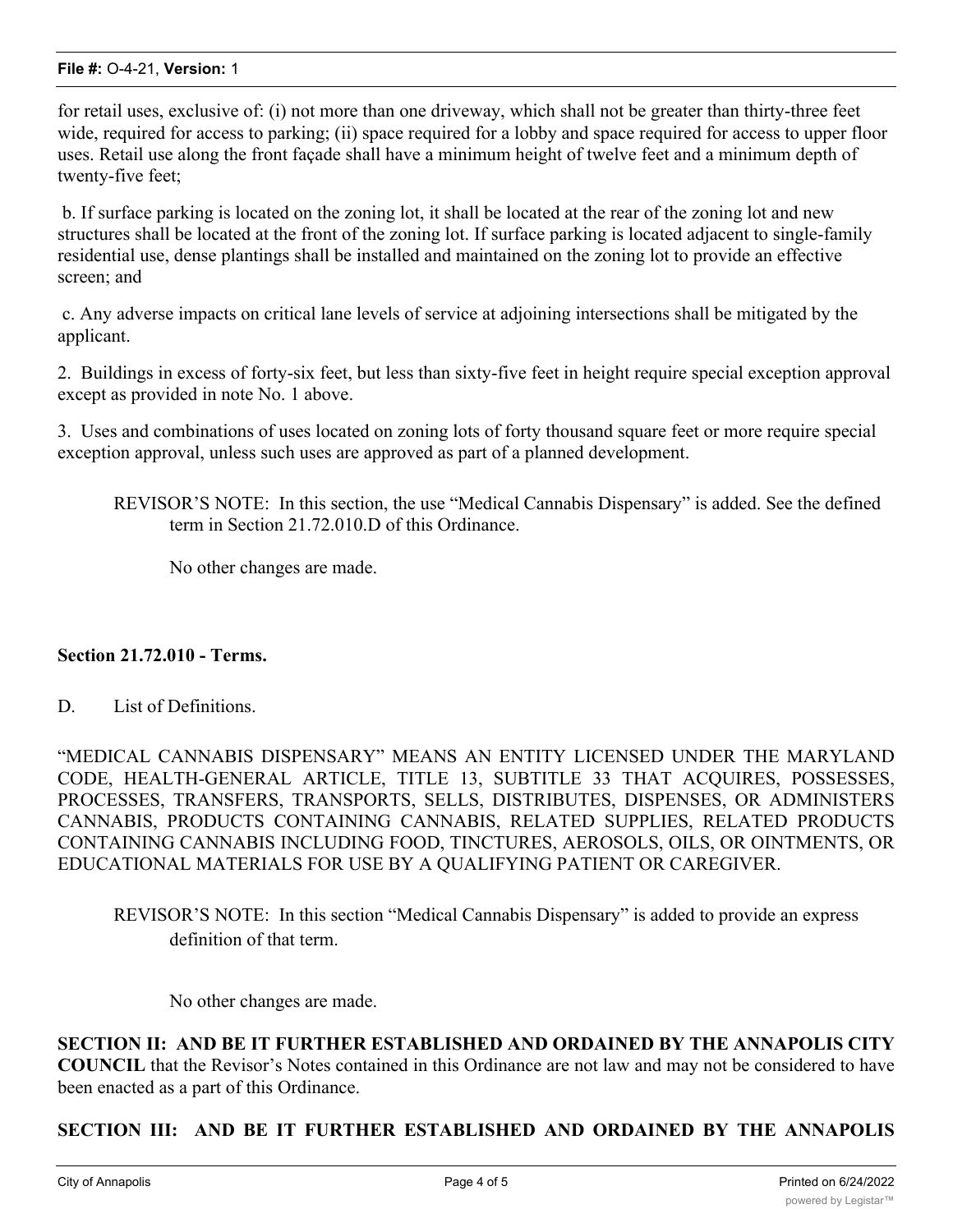#### **File #:** O-4-21, **Version:** 1

for retail uses, exclusive of: (i) not more than one driveway, which shall not be greater than thirty-three feet wide, required for access to parking; (ii) space required for a lobby and space required for access to upper floor uses. Retail use along the front façade shall have a minimum height of twelve feet and a minimum depth of twenty-five feet;

 b. If surface parking is located on the zoning lot, it shall be located at the rear of the zoning lot and new structures shall be located at the front of the zoning lot. If surface parking is located adjacent to single-family residential use, dense plantings shall be installed and maintained on the zoning lot to provide an effective screen; and

 c. Any adverse impacts on critical lane levels of service at adjoining intersections shall be mitigated by the applicant.

2. Buildings in excess of forty-six feet, but less than sixty-five feet in height require special exception approval except as provided in note No. 1 above.

3. Uses and combinations of uses located on zoning lots of forty thousand square feet or more require special exception approval, unless such uses are approved as part of a planned development.

REVISOR'S NOTE: In this section, the use "Medical Cannabis Dispensary" is added. See the defined term in Section 21.72.010.D of this Ordinance.

No other changes are made.

#### **Section 21.72.010 - Terms.**

D. List of Definitions.

"MEDICAL CANNABIS DISPENSARY" MEANS AN ENTITY LICENSED UNDER THE MARYLAND CODE, HEALTH-GENERAL ARTICLE, TITLE 13, SUBTITLE 33 THAT ACQUIRES, POSSESSES, PROCESSES, TRANSFERS, TRANSPORTS, SELLS, DISTRIBUTES, DISPENSES, OR ADMINISTERS CANNABIS, PRODUCTS CONTAINING CANNABIS, RELATED SUPPLIES, RELATED PRODUCTS CONTAINING CANNABIS INCLUDING FOOD, TINCTURES, AEROSOLS, OILS, OR OINTMENTS, OR EDUCATIONAL MATERIALS FOR USE BY A QUALIFYING PATIENT OR CAREGIVER.

REVISOR'S NOTE: In this section "Medical Cannabis Dispensary" is added to provide an express definition of that term.

No other changes are made.

**SECTION II: AND BE IT FURTHER ESTABLISHED AND ORDAINED BY THE ANNAPOLIS CITY COUNCIL** that the Revisor's Notes contained in this Ordinance are not law and may not be considered to have been enacted as a part of this Ordinance.

#### **SECTION III: AND BE IT FURTHER ESTABLISHED AND ORDAINED BY THE ANNAPOLIS**